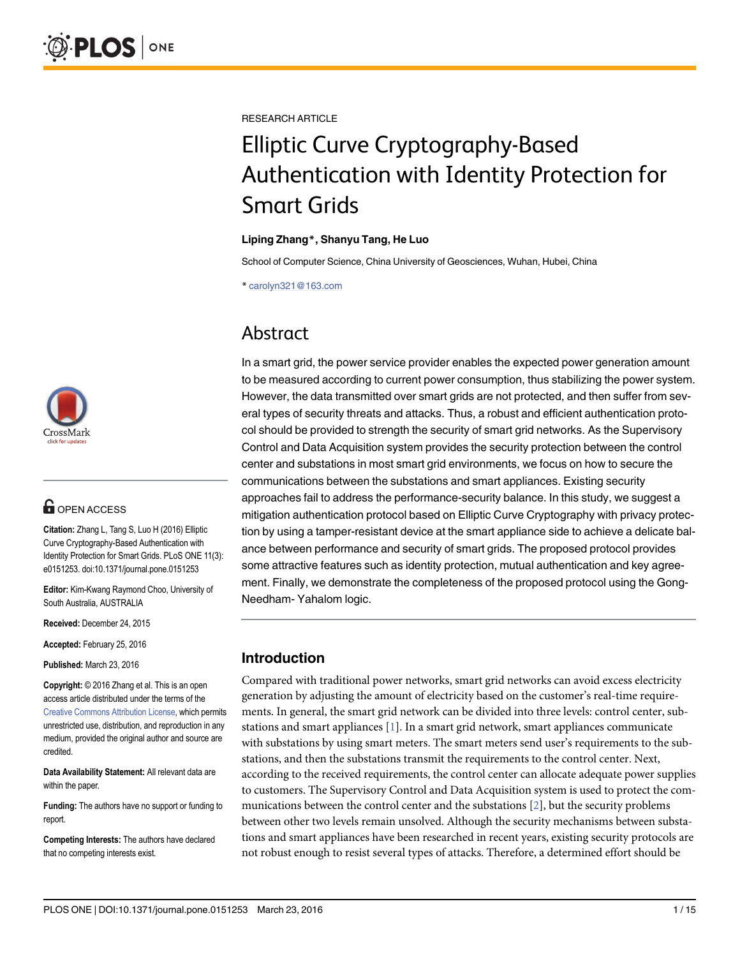

# **G** OPEN ACCESS

Citation: Zhang L, Tang S, Luo H (2016) Elliptic Curve Cryptography-Based Authentication with Identity Protection for Smart Grids. PLoS ONE 11(3): e0151253. doi:10.1371/journal.pone.0151253

Editor: Kim-Kwang Raymond Choo, University of South Australia, AUSTRALIA

Received: December 24, 2015

Accepted: February 25, 2016

Published: March 23, 2016

Copyright: © 2016 Zhang et al. This is an open access article distributed under the terms of the [Creative Commons Attribution License,](http://creativecommons.org/licenses/by/4.0/) which permits unrestricted use, distribution, and reproduction in any medium, provided the original author and source are credited.

Data Availability Statement: All relevant data are within the paper.

Funding: The authors have no support or funding to report.

Competing Interests: The authors have declared that no competing interests exist.

<span id="page-0-0"></span>RESEARCH ARTICLE

# Elliptic Curve Cryptography-Based Authentication with Identity Protection for Smart Grids

#### Liping Zhang\*, Shanyu Tang, He Luo

School of Computer Science, China University of Geosciences, Wuhan, Hubei, China

\* carolyn321@163.com

# Abstract

In a smart grid, the power service provider enables the expected power generation amount to be measured according to current power consumption, thus stabilizing the power system. However, the data transmitted over smart grids are not protected, and then suffer from several types of security threats and attacks. Thus, a robust and efficient authentication protocol should be provided to strength the security of smart grid networks. As the Supervisory Control and Data Acquisition system provides the security protection between the control center and substations in most smart grid environments, we focus on how to secure the communications between the substations and smart appliances. Existing security approaches fail to address the performance-security balance. In this study, we suggest a mitigation authentication protocol based on Elliptic Curve Cryptography with privacy protection by using a tamper-resistant device at the smart appliance side to achieve a delicate balance between performance and security of smart grids. The proposed protocol provides some attractive features such as identity protection, mutual authentication and key agreement. Finally, we demonstrate the completeness of the proposed protocol using the Gong-Needham- Yahalom logic.

## Introduction

Compared with traditional power networks, smart grid networks can avoid excess electricity generation by adjusting the amount of electricity based on the customer's real-time requirements. In general, the smart grid network can be divided into three levels: control center, substations and smart appliances [[1](#page-13-0)]. In a smart grid network, smart appliances communicate with substations by using smart meters. The smart meters send user's requirements to the substations, and then the substations transmit the requirements to the control center. Next, according to the received requirements, the control center can allocate adequate power supplies to customers. The Supervisory Control and Data Acquisition system is used to protect the communications between the control center and the substations [\[2](#page-13-0)], but the security problems between other two levels remain unsolved. Although the security mechanisms between substations and smart appliances have been researched in recent years, existing security protocols are not robust enough to resist several types of attacks. Therefore, a determined effort should be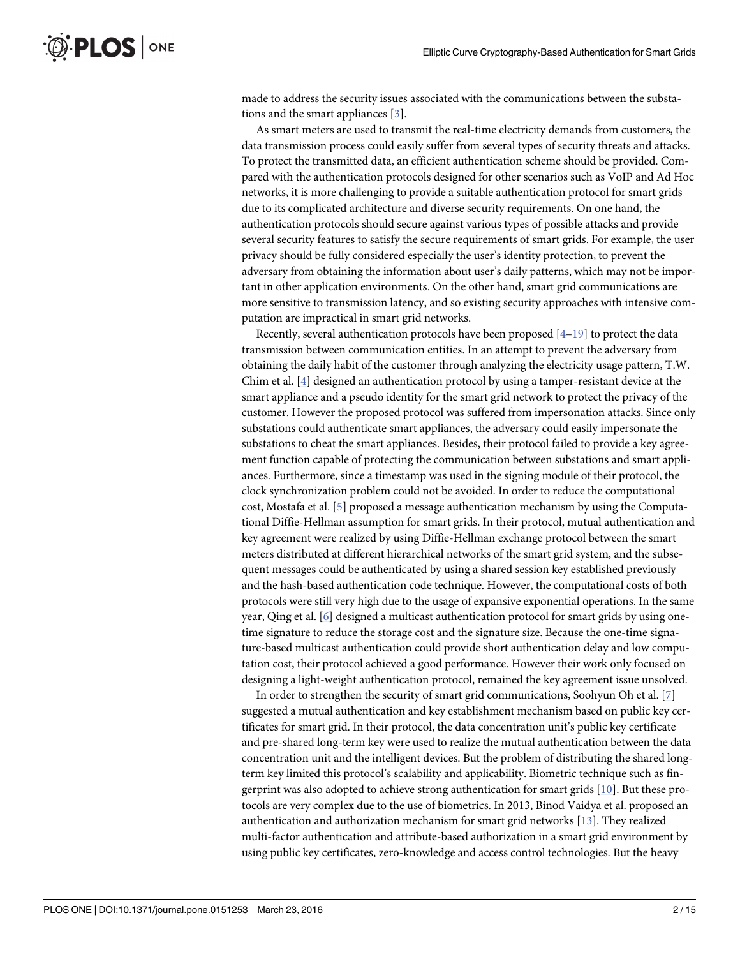<span id="page-1-0"></span>made to address the security issues associated with the communications between the substations and the smart appliances [\[3](#page-13-0)].

As smart meters are used to transmit the real-time electricity demands from customers, the data transmission process could easily suffer from several types of security threats and attacks. To protect the transmitted data, an efficient authentication scheme should be provided. Compared with the authentication protocols designed for other scenarios such as VoIP and Ad Hoc networks, it is more challenging to provide a suitable authentication protocol for smart grids due to its complicated architecture and diverse security requirements. On one hand, the authentication protocols should secure against various types of possible attacks and provide several security features to satisfy the secure requirements of smart grids. For example, the user privacy should be fully considered especially the user's identity protection, to prevent the adversary from obtaining the information about user's daily patterns, which may not be important in other application environments. On the other hand, smart grid communications are more sensitive to transmission latency, and so existing security approaches with intensive computation are impractical in smart grid networks.

Recently, several authentication protocols have been proposed  $[4-19]$  $[4-19]$  $[4-19]$  $[4-19]$  $[4-19]$  to protect the data transmission between communication entities. In an attempt to prevent the adversary from obtaining the daily habit of the customer through analyzing the electricity usage pattern, T.W. Chim et al. [[4\]](#page-14-0) designed an authentication protocol by using a tamper-resistant device at the smart appliance and a pseudo identity for the smart grid network to protect the privacy of the customer. However the proposed protocol was suffered from impersonation attacks. Since only substations could authenticate smart appliances, the adversary could easily impersonate the substations to cheat the smart appliances. Besides, their protocol failed to provide a key agreement function capable of protecting the communication between substations and smart appliances. Furthermore, since a timestamp was used in the signing module of their protocol, the clock synchronization problem could not be avoided. In order to reduce the computational cost, Mostafa et al. [[5\]](#page-14-0) proposed a message authentication mechanism by using the Computational Diffie-Hellman assumption for smart grids. In their protocol, mutual authentication and key agreement were realized by using Diffie-Hellman exchange protocol between the smart meters distributed at different hierarchical networks of the smart grid system, and the subsequent messages could be authenticated by using a shared session key established previously and the hash-based authentication code technique. However, the computational costs of both protocols were still very high due to the usage of expansive exponential operations. In the same year, Qing et al. [\[6](#page-14-0)] designed a multicast authentication protocol for smart grids by using onetime signature to reduce the storage cost and the signature size. Because the one-time signature-based multicast authentication could provide short authentication delay and low computation cost, their protocol achieved a good performance. However their work only focused on designing a light-weight authentication protocol, remained the key agreement issue unsolved.

In order to strengthen the security of smart grid communications, Soohyun Oh et al. [[7\]](#page-14-0) suggested a mutual authentication and key establishment mechanism based on public key certificates for smart grid. In their protocol, the data concentration unit's public key certificate and pre-shared long-term key were used to realize the mutual authentication between the data concentration unit and the intelligent devices. But the problem of distributing the shared longterm key limited this protocol's scalability and applicability. Biometric technique such as fingerprint was also adopted to achieve strong authentication for smart grids [\[10\]](#page-14-0). But these protocols are very complex due to the use of biometrics. In 2013, Binod Vaidya et al. proposed an authentication and authorization mechanism for smart grid networks [[13](#page-14-0)]. They realized multi-factor authentication and attribute-based authorization in a smart grid environment by using public key certificates, zero-knowledge and access control technologies. But the heavy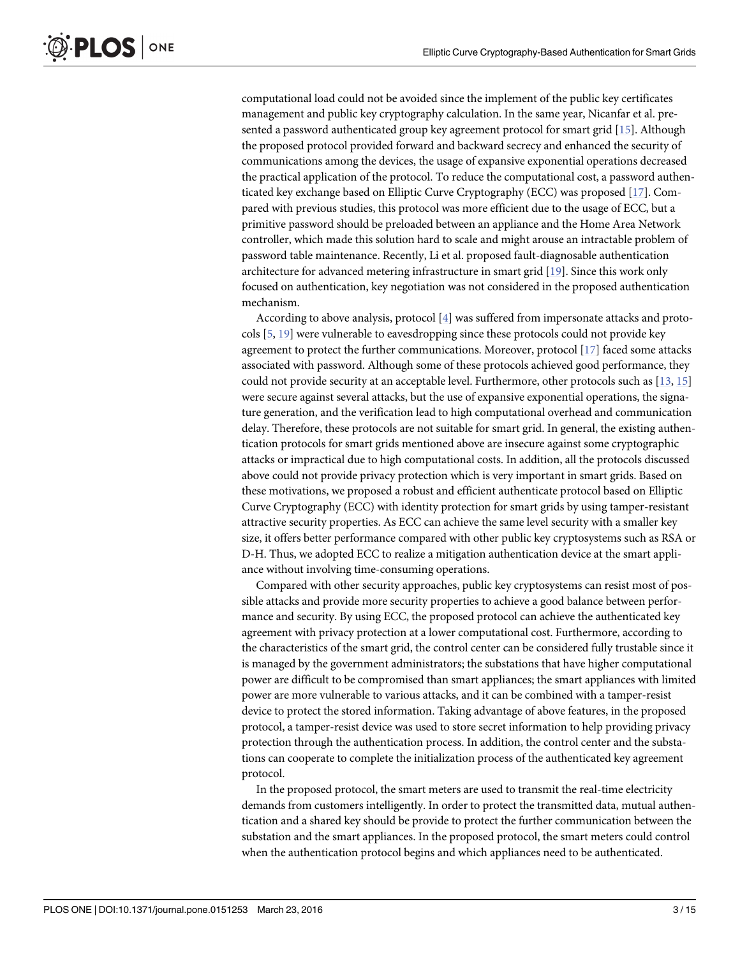<span id="page-2-0"></span>computational load could not be avoided since the implement of the public key certificates management and public key cryptography calculation. In the same year, Nicanfar et al. presented a password authenticated group key agreement protocol for smart grid [\[15\]](#page-14-0). Although the proposed protocol provided forward and backward secrecy and enhanced the security of communications among the devices, the usage of expansive exponential operations decreased the practical application of the protocol. To reduce the computational cost, a password authenticated key exchange based on Elliptic Curve Cryptography (ECC) was proposed [\[17](#page-14-0)]. Compared with previous studies, this protocol was more efficient due to the usage of ECC, but a primitive password should be preloaded between an appliance and the Home Area Network controller, which made this solution hard to scale and might arouse an intractable problem of password table maintenance. Recently, Li et al. proposed fault-diagnosable authentication architecture for advanced metering infrastructure in smart grid [\[19\]](#page-14-0). Since this work only focused on authentication, key negotiation was not considered in the proposed authentication mechanism.

According to above analysis, protocol  $[4]$  $[4]$  was suffered from impersonate attacks and protocols [[5,](#page-14-0) [19\]](#page-14-0) were vulnerable to eavesdropping since these protocols could not provide key agreement to protect the further communications. Moreover, protocol [\[17](#page-14-0)] faced some attacks associated with password. Although some of these protocols achieved good performance, they could not provide security at an acceptable level. Furthermore, other protocols such as [[13](#page-14-0), [15](#page-14-0)] were secure against several attacks, but the use of expansive exponential operations, the signature generation, and the verification lead to high computational overhead and communication delay. Therefore, these protocols are not suitable for smart grid. In general, the existing authentication protocols for smart grids mentioned above are insecure against some cryptographic attacks or impractical due to high computational costs. In addition, all the protocols discussed above could not provide privacy protection which is very important in smart grids. Based on these motivations, we proposed a robust and efficient authenticate protocol based on Elliptic Curve Cryptography (ECC) with identity protection for smart grids by using tamper-resistant attractive security properties. As ECC can achieve the same level security with a smaller key size, it offers better performance compared with other public key cryptosystems such as RSA or D-H. Thus, we adopted ECC to realize a mitigation authentication device at the smart appliance without involving time-consuming operations.

Compared with other security approaches, public key cryptosystems can resist most of possible attacks and provide more security properties to achieve a good balance between performance and security. By using ECC, the proposed protocol can achieve the authenticated key agreement with privacy protection at a lower computational cost. Furthermore, according to the characteristics of the smart grid, the control center can be considered fully trustable since it is managed by the government administrators; the substations that have higher computational power are difficult to be compromised than smart appliances; the smart appliances with limited power are more vulnerable to various attacks, and it can be combined with a tamper-resist device to protect the stored information. Taking advantage of above features, in the proposed protocol, a tamper-resist device was used to store secret information to help providing privacy protection through the authentication process. In addition, the control center and the substations can cooperate to complete the initialization process of the authenticated key agreement protocol.

In the proposed protocol, the smart meters are used to transmit the real-time electricity demands from customers intelligently. In order to protect the transmitted data, mutual authentication and a shared key should be provide to protect the further communication between the substation and the smart appliances. In the proposed protocol, the smart meters could control when the authentication protocol begins and which appliances need to be authenticated.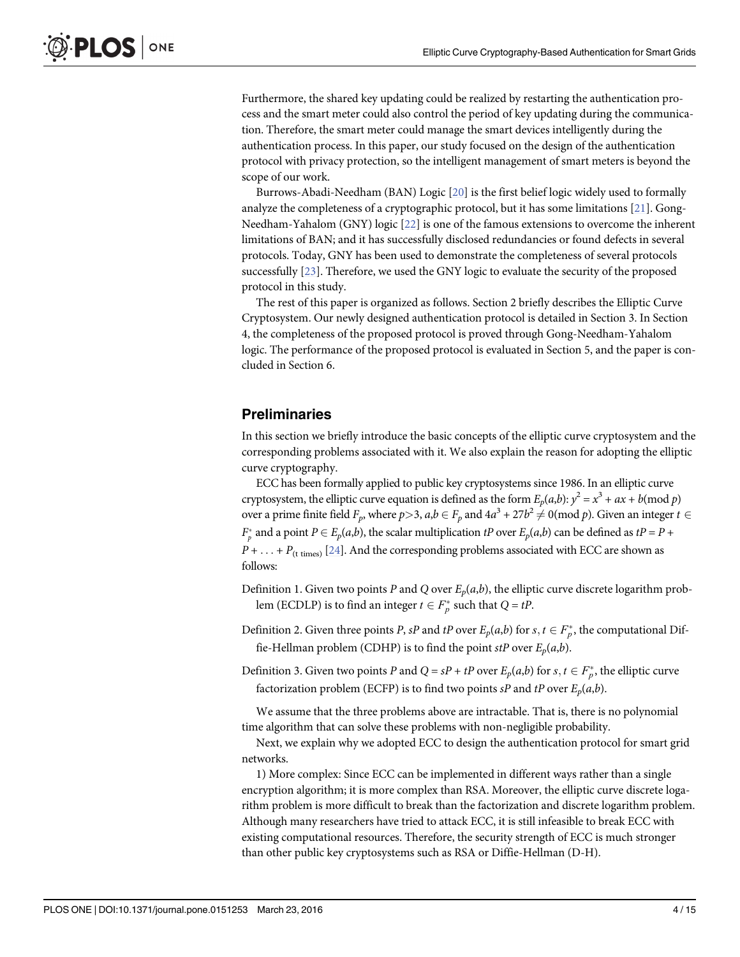<span id="page-3-0"></span>Furthermore, the shared key updating could be realized by restarting the authentication process and the smart meter could also control the period of key updating during the communication. Therefore, the smart meter could manage the smart devices intelligently during the authentication process. In this paper, our study focused on the design of the authentication protocol with privacy protection, so the intelligent management of smart meters is beyond the scope of our work.

Burrows-Abadi-Needham (BAN) Logic [\[20](#page-14-0)] is the first belief logic widely used to formally analyze the completeness of a cryptographic protocol, but it has some limitations [\[21\]](#page-14-0). Gong-Needham-Yahalom (GNY) logic [[22](#page-14-0)] is one of the famous extensions to overcome the inherent limitations of BAN; and it has successfully disclosed redundancies or found defects in several protocols. Today, GNY has been used to demonstrate the completeness of several protocols successfully [\[23\]](#page-14-0). Therefore, we used the GNY logic to evaluate the security of the proposed protocol in this study.

The rest of this paper is organized as follows. Section 2 briefly describes the Elliptic Curve Cryptosystem. Our newly designed authentication protocol is detailed in Section 3. In Section 4, the completeness of the proposed protocol is proved through Gong-Needham-Yahalom logic. The performance of the proposed protocol is evaluated in Section 5, and the paper is concluded in Section 6.

# **Preliminaries**

In this section we briefly introduce the basic concepts of the elliptic curve cryptosystem and the corresponding problems associated with it. We also explain the reason for adopting the elliptic curve cryptography.

ECC has been formally applied to public key cryptosystems since 1986. In an elliptic curve cryptosystem, the elliptic curve equation is defined as the form  $E_p(a,b)$ :  $y^2 = x^3 + ax + b \pmod{p}$ over a prime finite field  $F_p$ , where  $p > 3$ ,  $a,b \in F_p$  and  $4a^3 + 27b^2 \neq 0 \pmod{p}$ . Given an integer  $t \in$  $F_p^*$  and a point  $P \in E_p(a,b)$ , the scalar multiplication tP over  $E_p(a,b)$  can be defined as  $tP = P +$  $P + ... + P_{(t \text{ times})}$  [\[24](#page-14-0)]. And the corresponding problems associated with ECC are shown as follows:

- Definition 1. Given two points P and Q over  $E_p(a,b)$ , the elliptic curve discrete logarithm problem (ECDLP) is to find an integer  $t \in F_p^*$  such that  $Q = tP$ .
- Definition 2. Given three points P, sP and tP over  $E_p(a,b)$  for  $s, t \in F_p^*$ , the computational Diffie-Hellman problem (CDHP) is to find the point stP over  $E_p(a,b)$ .
- Definition 3. Given two points P and  $Q = sP + tP$  over  $E_p(a,b)$  for  $s, t \in F_p^*$ , the elliptic curve factorization problem (ECFP) is to find two points sP and tP over  $E_p(a,b)$ .

We assume that the three problems above are intractable. That is, there is no polynomial time algorithm that can solve these problems with non-negligible probability.

Next, we explain why we adopted ECC to design the authentication protocol for smart grid networks.

1) More complex: Since ECC can be implemented in different ways rather than a single encryption algorithm; it is more complex than RSA. Moreover, the elliptic curve discrete logarithm problem is more difficult to break than the factorization and discrete logarithm problem. Although many researchers have tried to attack ECC, it is still infeasible to break ECC with existing computational resources. Therefore, the security strength of ECC is much stronger than other public key cryptosystems such as RSA or Diffie-Hellman (D-H).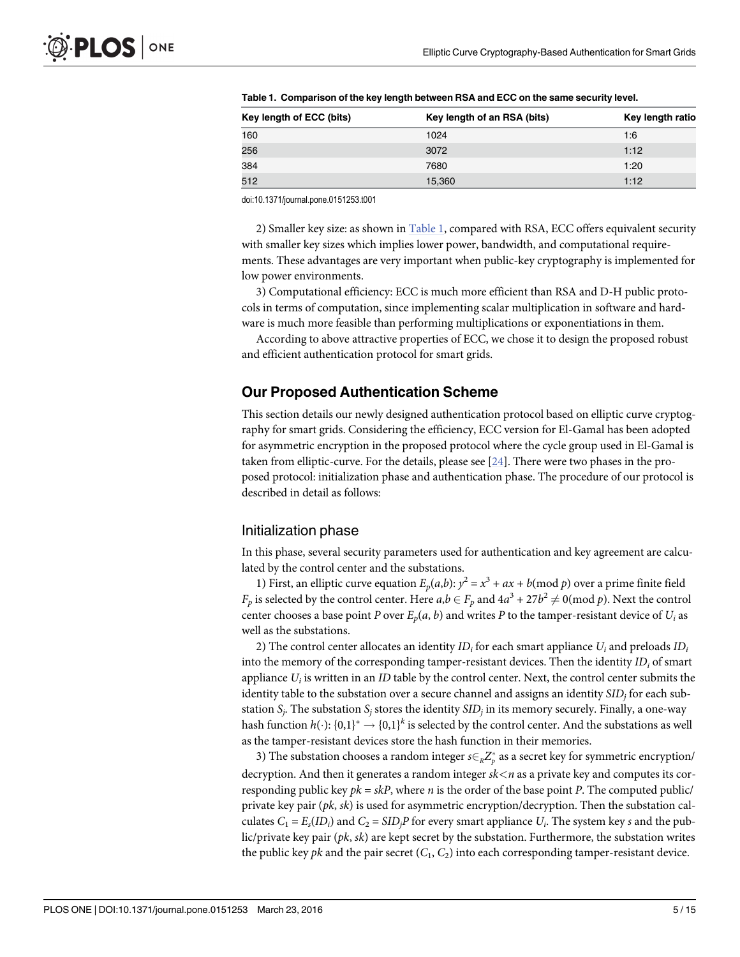| Key length of ECC (bits) | Key length of an RSA (bits) | Key length ratio |
|--------------------------|-----------------------------|------------------|
| 160                      | 1024                        | 1:6              |
| 256                      | 3072                        | 1:12             |
| 384                      | 7680                        | 1:20             |
| 512                      | 15,360                      | 1:12             |

|  |  | Table 1.  Comparison of the key length between RSA and ECC on the same security level. |  |
|--|--|----------------------------------------------------------------------------------------|--|
|--|--|----------------------------------------------------------------------------------------|--|

doi:10.1371/journal.pone.0151253.t001

2) Smaller key size: as shown in Table 1, compared with RSA, ECC offers equivalent security with smaller key sizes which implies lower power, bandwidth, and computational requirements. These advantages are very important when public-key cryptography is implemented for low power environments.

3) Computational efficiency: ECC is much more efficient than RSA and D-H public protocols in terms of computation, since implementing scalar multiplication in software and hardware is much more feasible than performing multiplications or exponentiations in them.

According to above attractive properties of ECC, we chose it to design the proposed robust and efficient authentication protocol for smart grids.

#### Our Proposed Authentication Scheme

This section details our newly designed authentication protocol based on elliptic curve cryptography for smart grids. Considering the efficiency, ECC version for El-Gamal has been adopted for asymmetric encryption in the proposed protocol where the cycle group used in El-Gamal is taken from elliptic-curve. For the details, please see  $[24]$ . There were two phases in the proposed protocol: initialization phase and authentication phase. The procedure of our protocol is described in detail as follows:

#### Initialization phase

In this phase, several security parameters used for authentication and key agreement are calculated by the control center and the substations.

1) First, an elliptic curve equation  $E_p(a,b)$ :  $y^2 = x^3 + ax + b \pmod{p}$  over a prime finite field  $F_p$  is selected by the control center. Here  $a,b \in F_p$  and  $4a^3 + 27b^2 \neq 0 \pmod{p}$ . Next the control center chooses a base point P over  $E_p(a, b)$  and writes P to the tamper-resistant device of  $U_i$  as well as the substations.

2) The control center allocates an identity ID<sub>i</sub> for each smart appliance  $U_i$  and preloads ID<sub>i</sub> into the memory of the corresponding tamper-resistant devices. Then the identity  $ID_i$  of smart appliance  $U_i$  is written in an ID table by the control center. Next, the control center submits the identity table to the substation over a secure channel and assigns an identity  $SID<sub>i</sub>$  for each substation  $S_i$ . The substation  $S_i$  stores the identity  $SID_i$  in its memory securely. Finally, a one-way hash function  $h(\cdot): \{0,1\}^*$  $\rightarrow$  {0,1}<sup>k</sup> is selected by the control center. And the substations as well as the tamper-resistant devices store the hash function in their memories.

3) The substation chooses a random integer  $s \in_R Z_p^*$  as a secret key for symmetric encryption/ decryption. And then it generates a random integer  $sk$ < $n$  as a private key and computes its corresponding public key  $pk = skP$ , where *n* is the order of the base point *P*. The computed public/ private key pair  $(pk, sk)$  is used for asymmetric encryption/decryption. Then the substation calculates  $C_1 = E_s(ID_i)$  and  $C_2 = SID_iP$  for every smart appliance  $U_i$ . The system key s and the public/private key pair  $(pk, sk)$  are kept secret by the substation. Furthermore, the substation writes the public key pk and the pair secret  $(C_1, C_2)$  into each corresponding tamper-resistant device.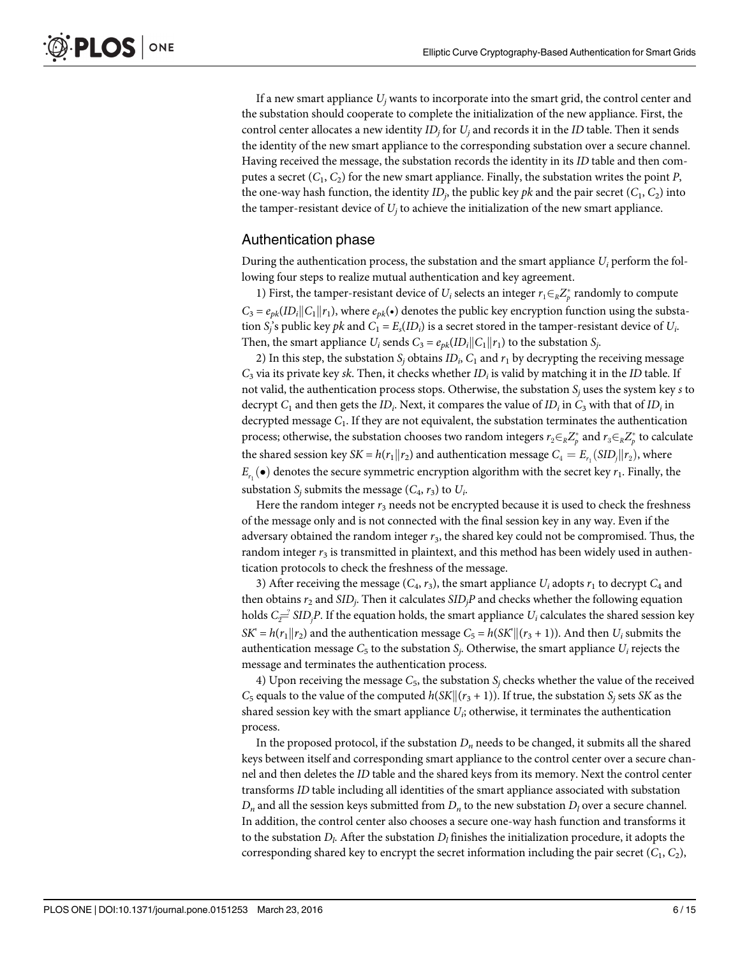If a new smart appliance  $U_i$  wants to incorporate into the smart grid, the control center and the substation should cooperate to complete the initialization of the new appliance. First, the control center allocates a new identity  $ID_i$  for  $U_i$  and records it in the ID table. Then it sends the identity of the new smart appliance to the corresponding substation over a secure channel. Having received the message, the substation records the identity in its ID table and then computes a secret  $(C_1, C_2)$  for the new smart appliance. Finally, the substation writes the point P, the one-way hash function, the identity  $ID_i$ , the public key pk and the pair secret  $(C_1, C_2)$  into the tamper-resistant device of  $U_i$  to achieve the initialization of the new smart appliance.

# Authentication phase

During the authentication process, the substation and the smart appliance  $U_i$  perform the following four steps to realize mutual authentication and key agreement.

1) First, the tamper-resistant device of  $U_i$  selects an integer  $r_1 \in_R Z_p^*$  randomly to compute  $C_3 = e_{pk}(ID_i||C_1||r_1)$ , where  $e_{pk}(\cdot)$  denotes the public key encryption function using the substation  $S_i$ 's public key pk and  $C_1 = E_s(ID_i)$  is a secret stored in the tamper-resistant device of  $U_i$ . Then, the smart appliance  $U_i$  sends  $C_3 = e_{pk}(ID_i || C_1 || r_1)$  to the substation  $S_i$ .

2) In this step, the substation  $S_i$  obtains  $ID_i$ ,  $C_1$  and  $r_1$  by decrypting the receiving message  $C_3$  via its private key sk. Then, it checks whether ID<sub>i</sub> is valid by matching it in the ID table. If not valid, the authentication process stops. Otherwise, the substation  $S_i$  uses the system key s to decrypt  $C_1$  and then gets the ID<sub>i</sub>. Next, it compares the value of ID<sub>i</sub> in  $C_3$  with that of ID<sub>i</sub> in decrypted message  $C_1$ . If they are not equivalent, the substation terminates the authentication process; otherwise, the substation chooses two random integers  $r_2 \in_R Z_p^*$  and  $r_3 \in_R Z_p^*$  to calculate the shared session key  $SK = h(r_1||r_2)$  and authentication message  $C_4 = E_{r_1}(SID_j||r_2)$ , where  $E_{r_1}(\bullet)$  denotes the secure symmetric encryption algorithm with the secret key  $r_1$ . Finally, the substation  $S_i$  submits the message  $(C_4, r_3)$  to  $U_i$ .

Here the random integer  $r_3$  needs not be encrypted because it is used to check the freshness of the message only and is not connected with the final session key in any way. Even if the adversary obtained the random integer  $r_3$ , the shared key could not be compromised. Thus, the random integer  $r<sub>3</sub>$  is transmitted in plaintext, and this method has been widely used in authentication protocols to check the freshness of the message.

3) After receiving the message ( $C_4$ ,  $r_3$ ), the smart appliance  $U_i$  adopts  $r_1$  to decrypt  $C_4$  and then obtains  $r_2$  and SID<sub>i</sub>. Then it calculates SID<sub>i</sub>P and checks whether the following equation holds  $C_2 = \frac{S}{D}P$ . If the equation holds, the smart appliance  $U_i$  calculates the shared session key  $SK = h(r_1||r_2)$  and the authentication message  $C_5 = h(SK'||(r_3 + 1))$ . And then  $U_i$  submits the authentication message  $C_5$  to the substation  $S_i$ . Otherwise, the smart appliance  $U_i$  rejects the message and terminates the authentication process.

4) Upon receiving the message  $C_5$ , the substation  $S_i$  checks whether the value of the received  $C_5$  equals to the value of the computed  $h(SK|| (r_3 + 1))$ . If true, the substation  $S_i$  sets SK as the shared session key with the smart appliance  $U_i$ ; otherwise, it terminates the authentication process.

In the proposed protocol, if the substation  $D_n$  needs to be changed, it submits all the shared keys between itself and corresponding smart appliance to the control center over a secure channel and then deletes the ID table and the shared keys from its memory. Next the control center transforms ID table including all identities of the smart appliance associated with substation  $D_n$  and all the session keys submitted from  $D_n$  to the new substation  $D_l$  over a secure channel. In addition, the control center also chooses a secure one-way hash function and transforms it to the substation  $D_l$ . After the substation  $D_l$  finishes the initialization procedure, it adopts the corresponding shared key to encrypt the secret information including the pair secret  $(C_1, C_2)$ ,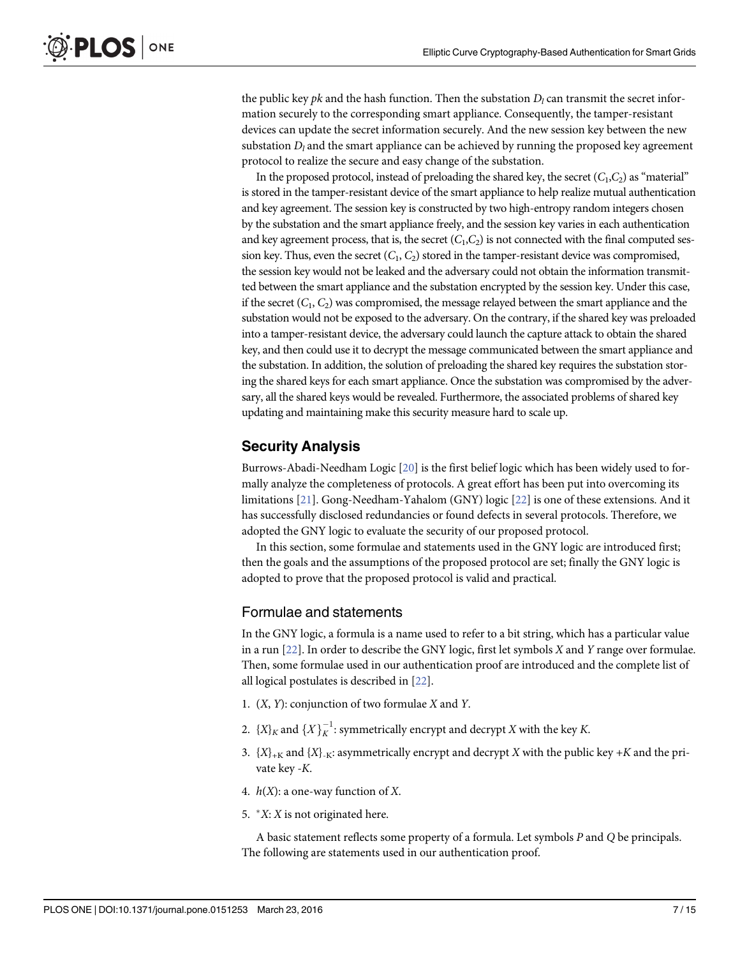the public key pk and the hash function. Then the substation  $D_l$  can transmit the secret information securely to the corresponding smart appliance. Consequently, the tamper-resistant devices can update the secret information securely. And the new session key between the new substation  $D_l$  and the smart appliance can be achieved by running the proposed key agreement protocol to realize the secure and easy change of the substation.

In the proposed protocol, instead of preloading the shared key, the secret  $(C_1, C_2)$  as "material" is stored in the tamper-resistant device of the smart appliance to help realize mutual authentication and key agreement. The session key is constructed by two high-entropy random integers chosen by the substation and the smart appliance freely, and the session key varies in each authentication and key agreement process, that is, the secret  $(C_1, C_2)$  is not connected with the final computed session key. Thus, even the secret  $(C_1, C_2)$  stored in the tamper-resistant device was compromised, the session key would not be leaked and the adversary could not obtain the information transmitted between the smart appliance and the substation encrypted by the session key. Under this case, if the secret  $(C_1, C_2)$  was compromised, the message relayed between the smart appliance and the substation would not be exposed to the adversary. On the contrary, if the shared key was preloaded into a tamper-resistant device, the adversary could launch the capture attack to obtain the shared key, and then could use it to decrypt the message communicated between the smart appliance and the substation. In addition, the solution of preloading the shared key requires the substation storing the shared keys for each smart appliance. Once the substation was compromised by the adversary, all the shared keys would be revealed. Furthermore, the associated problems of shared key updating and maintaining make this security measure hard to scale up.

#### Security Analysis

Burrows-Abadi-Needham Logic [\[20\]](#page-14-0) is the first belief logic which has been widely used to formally analyze the completeness of protocols. A great effort has been put into overcoming its limitations [[21](#page-14-0)]. Gong-Needham-Yahalom (GNY) logic [[22](#page-14-0)] is one of these extensions. And it has successfully disclosed redundancies or found defects in several protocols. Therefore, we adopted the GNY logic to evaluate the security of our proposed protocol.

In this section, some formulae and statements used in the GNY logic are introduced first; then the goals and the assumptions of the proposed protocol are set; finally the GNY logic is adopted to prove that the proposed protocol is valid and practical.

#### Formulae and statements

In the GNY logic, a formula is a name used to refer to a bit string, which has a particular value in a run  $[22]$  $[22]$  $[22]$ . In order to describe the GNY logic, first let symbols X and Y range over formulae. Then, some formulae used in our authentication proof are introduced and the complete list of all logical postulates is described in [[22](#page-14-0)].

- 1.  $(X, Y)$ : conjunction of two formulae  $X$  and  $Y$ .
- 2.  $\{X\}_K$  and  $\{X\}_K^{-1}$ : symmetrically encrypt and decrypt X with the key K.
- 3.  $\{X\}_{+K}$  and  $\{X\}_{-K}$ : asymmetrically encrypt and decrypt X with the public key +K and the private key -K.
- 4.  $h(X)$ : a one-way function of X.
- 5.  $X: X$  is not originated here.

A basic statement reflects some property of a formula. Let symbols P and Q be principals. The following are statements used in our authentication proof.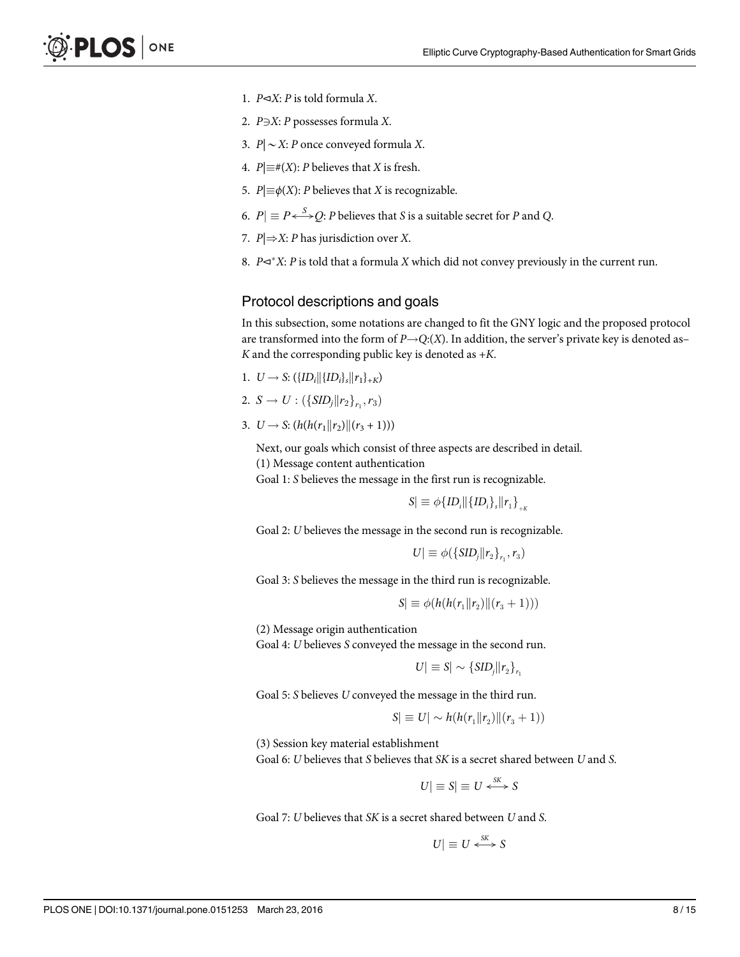- 1. P⊲X: P is told formula X.
- 2.  $P \ni X: P$  possesses formula X.
- 3.  $P | \sim X$ : P once conveyed formula X.
- 4.  $P \equiv \#(X)$ : P believes that X is fresh.
- 5.  $P|\equiv \phi(X)$ : P believes that X is recognizable.
- 6.  $P \equiv P \leftarrow S \backsim Q$ : P believes that S is a suitable secret for P and Q.
- 7.  $P \rightarrow X: P$  has jurisdiction over X.
- 8. P<<sup>\*</sup>X: P is told that a formula X which did not convey previously in the current run.

#### Protocol descriptions and goals

In this subsection, some notations are changed to fit the GNY logic and the proposed protocol are transformed into the form of  $P \rightarrow Q:(X)$ . In addition, the server's private key is denoted as-K and the corresponding public key is denoted as  $+K$ .

1. 
$$
U \rightarrow S: (\{ID_i \mid \{ID_i\}_s \mid |r_1\}_{+K})
$$

- 2.  $S \to U : (\{SID_j || r_2\}_{r_1}, r_3)$
- 3.  $U \rightarrow S: (h(h(r_1||r_2)||(r_3 + 1)))$

Next, our goals which consist of three aspects are described in detail. (1) Message content authentication

Goal 1: S believes the message in the first run is recognizable.

$$
S|\equiv \phi\{ID_i\|\{ID_i\}_s\|r_1\}_{_{+K}}
$$

Goal 2: U believes the message in the second run is recognizable.

$$
U|\equiv\phi(\{\textit{SID}_j\|r_2\}_{r_1},r_3)
$$

Goal 3: S believes the message in the third run is recognizable.

$$
S|\equiv \phi(h(h(r_1||r_2)||(r_3+1)))
$$

(2) Message origin authentication

Goal 4: U believes S conveyed the message in the second run.

$$
U|\equiv S|\sim \left\{ SID_j||r_2\right\}_{r_1}
$$

Goal 5: S believes U conveyed the message in the third run.

$$
S| \equiv U| \sim h(h(r_1 \| r_2) \| (r_3 + 1))
$$

(3) Session key material establishment

Goal 6: U believes that S believes that SK is a secret shared between U and S.

$$
|U| \equiv S| \equiv U \stackrel{SK}{\longleftrightarrow} S
$$

 $|U| \equiv S| \equiv U \stackrel{SK}{\longleftrightarrow} S$ <br>Goal 7: U believes that SK is a secret shared between U and S.

$$
U|\equiv U\stackrel{SK}{\longleftrightarrow} S
$$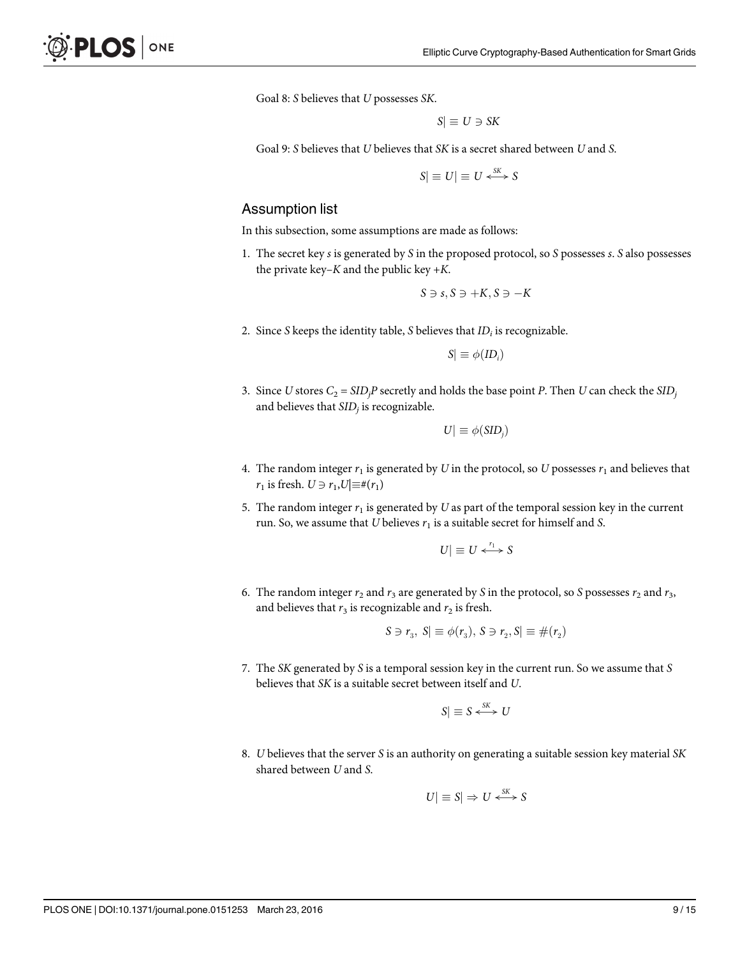Goal 8: S believes that U possesses SK.

$$
S|\equiv U\ni SK
$$

Goal 9: S believes that U believes that SK is a secret shared between U and S.

$$
S|\equiv U|\equiv U\stackrel{SK}{\longleftrightarrow}S
$$

#### Assumption list

In this subsection, some assumptions are made as follows:

1. The secret key s is generated by S in the proposed protocol, so S possesses s. S also possesses the private key– $K$  and the public key + $K$ .

$$
S \ni s, S \ni +K, S \ni -K
$$

2. Since S keeps the identity table, S believes that  $ID_i$  is recognizable.

$$
S|\equiv \phi(ID_i)
$$

3. Since U stores  $C_2 = SID_jP$  secretly and holds the base point P. Then U can check the SID<sub>i</sub> and believes that  $SID<sub>i</sub>$  is recognizable.

$$
U|\equiv \phi(SID_j)
$$

- 4. The random integer  $r_1$  is generated by U in the protocol, so U possesses  $r_1$  and believes that  $r_1$  is fresh.  $U \ni r_1, U \models \#(r_1)$
- 5. The random integer  $r_1$  is generated by U as part of the temporal session key in the current run. So, we assume that U believes  $r_1$  is a suitable secret for himself and S.

$$
U|\equiv U\stackrel{r_1}{\longleftrightarrow} S
$$

6. The random integer  $r_2$  and  $r_3$  are generated by S in the protocol, so S possesses  $r_2$  and  $r_3$ , and believes that  $r_3$  is recognizable and  $r_2$  is fresh.

$$
S \ni r_3, S \equiv \phi(r_3), S \ni r_2, S \equiv \#(r_2)
$$

7. The SK generated by S is a temporal session key in the current run. So we assume that S believes that SK is a suitable secret between itself and U.

$$
S|\equiv S \stackrel{SK}{\longleftrightarrow} U
$$

8. U believes that the server S is an authority on generating a suitable session key material SK shared between U and S.

$$
|U| \equiv S| \Rightarrow U \xleftarrow{SK} S
$$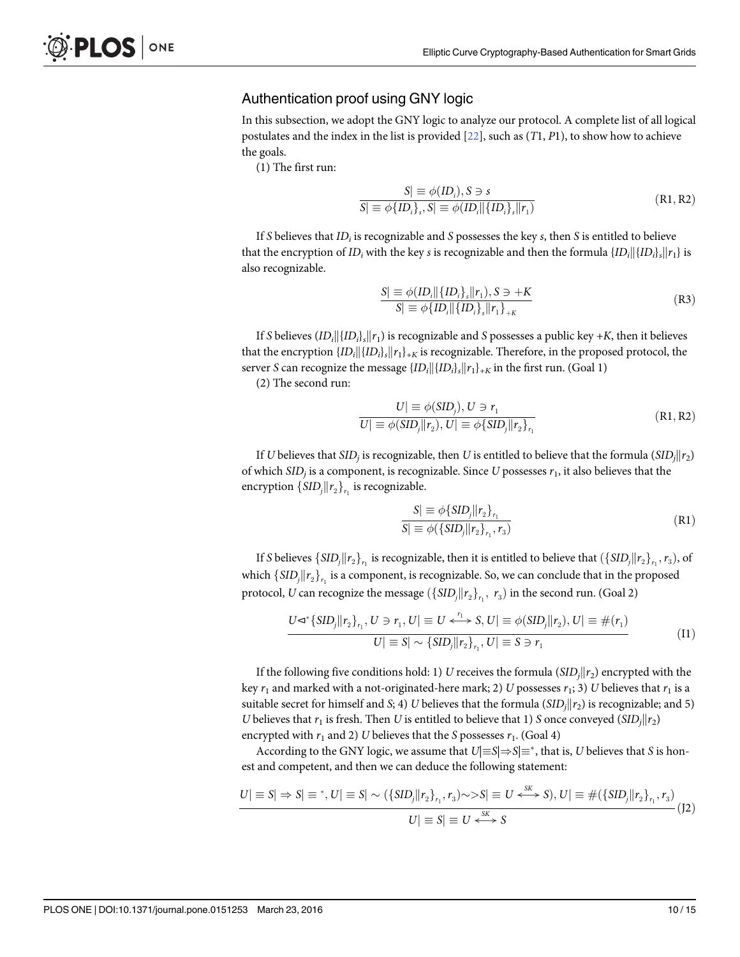### Authentication proof using GNY logic

In this subsection, we adopt the GNY logic to analyze our protocol. A complete list of all logical postulates and the index in the list is provided  $[22]$  $[22]$ , such as  $(T1, P1)$ , to show how to achieve the goals.

(1) The first run:

$$
S| \equiv \phi(ID_i), S \ni s
$$
  
\n
$$
S| \equiv \phi \{ ID_i \}, S| \equiv \phi(ID_i || \{ ID_i \}, ||r_1)
$$
\n(R1, R2)

If S believes that  $ID_i$  is recognizable and S possesses the key s, then S is entitled to believe that the encryption of ID<sub>i</sub> with the key s is recognizable and then the formula  $\{ID_i\,|\{ID_i\}_s\|r_1\}$  is also recognizable.

$$
S| \equiv \phi(ID_i || \{ ID_i \}_s || r_1), S \ni +K
$$
  
\n
$$
S| \equiv \phi \{ ID_i || \{ ID_i \}_s || r_1 \}_+ \tag{R3}
$$

If S believes  $(ID_i || \{ID_i\}| r_1)$  is recognizable and S possesses a public key +K, then it believes that the encryption  ${ID_i}{\left\| {ID_i} \right\|}{r_1}_{+K}$  is recognizable. Therefore, in the proposed protocol, the server S can recognize the message  ${ID_i}{\vert{ID_i}\vert}{\vert{ID_i}\vert}_k{\vert{n_1}\vert}_k$  in the first run. (Goal 1)

(2) The second run:

$$
U| \equiv \phi(SID_j), U \ni r_1
$$
  
\n
$$
U| \equiv \phi(SID_j||r_2), U| \equiv \phi\{SID_j||r_2\}_{r_1}
$$
\n(R1, R2)

If U believes that  $SID_i$  is recognizable, then U is entitled to believe that the formula  $(SID_i||r_2)$ of which  $SID_j$  is a component, is recognizable. Since U possesses  $r_1$ , it also believes that the encryption  $\{SID_j||r_2\}_{r_1}$  is recognizable.

$$
S| \equiv \phi\{SID_j||r_2\}_{r_1}
$$
  
\n
$$
S| \equiv \phi(\{SID_j||r_2\}_{r_1}, r_3)
$$
 (R1)

If S believes  $\{SID_j||r_2\}_{r_1}$  is recognizable, then it is entitled to believe that  $(\{SID_j||r_2\}_{r_1}, r_3)$ , of which  $\{SID_j||r_2\}_{r_1}$  is a component, is recognizable. So, we can conclude that in the proposed protocol, U can recognize the message  $(\{\textit{SID}_j || r_2\}_{r_1}, r_3)$  in the second run. (Goal 2)

$$
U \triangleleft^* \{ SID_j || r_2 \}_{r_1}, U \ni r_1, U \equiv U \stackrel{r_1}{\longleftrightarrow} S, U \equiv \phi(SID_j || r_2), U \equiv \#(r_1)
$$
  

$$
U \equiv S | \sim \{SID_j || r_2 \}_{r_1}, U \equiv S \ni r_1
$$
 (I1)

If the following five conditions hold: 1) U receives the formula  $(SID_i||r_2)$  encrypted with the key  $r_1$  and marked with a not-originated-here mark; 2) U possesses  $r_1$ ; 3) U believes that  $r_1$  is a suitable secret for himself and S; 4) U believes that the formula  $(SID_i||r_2)$  is recognizable; and 5) U believes that  $r_1$  is fresh. Then U is entitled to believe that 1) S once conveyed (SID<sub>i</sub> $|r_2$ ) encrypted with  $r_1$  and 2) U believes that the S possesses  $r_1$ . (Goal 4)

According to the GNY logic, we assume that  $U|\equiv S|\Rightarrow S|\equiv^*$ , that is, U believes that S is hon-<br>and competent and then we can deduce the following statement: est and competent, and then we can deduce the following statement:

$$
|U| \equiv S| \Rightarrow S| \equiv^*, U| \equiv S| \sim (\{SID_j||r_2\}_{r_1}, r_3) \sim S| \equiv U \stackrel{SK}{\longleftrightarrow} S), U| \equiv \#(\{SID_j||r_2\}_{r_1}, r_3)
$$

$$
U| \equiv S| \equiv U \stackrel{SK}{\longleftrightarrow} S
$$
(J2)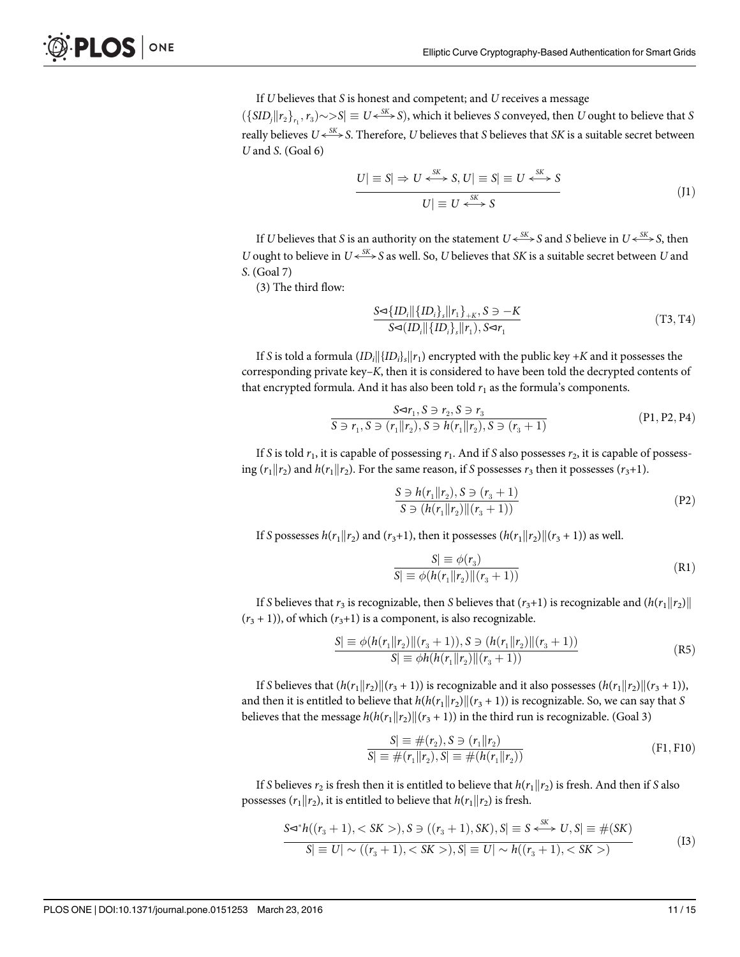If  $U$  believes that  $S$  is honest and competent; and  $U$  receives a message

 $({\{SID_j || r_2\}}_{r_1})$  $|r_3\rangle \sim > S| \equiv U \xleftarrow{SK} S$ , which it believes S conveyed, then U ought to believe that S<br>es  $U \xleftarrow{SK} S$ . Therefore, U believes that S believes that SK is a suitable secret between really believes  $U \xleftarrow{SK} S$ . Therefore, U believes that S believes that SK is a suitable secret between U and S. (Goal 6)  $U$  and S. (Goal 6)

$$
|U| \equiv S| \Rightarrow U \xleftarrow{SK} S, U| \equiv S| \equiv U \xleftarrow{SK} S
$$
  

$$
|U| \equiv U \xleftarrow{SK} S
$$
 (J1)

If U believes that S is an authority on the statement  $U \leftarrow S K \rightarrow S$  and S believe in  $U \leftarrow S K \rightarrow S$ , then bught to believe in  $U \leftarrow S K \rightarrow S$  as well. So, U believes that SK is a suitable secret between U and U ought to believe in  $U \leftarrow^{SK} S$  as well. So, U believes that SK is a suitable secret between U and S. (Goal 7) S. (Goal 7)

(3) The third flow:

$$
S \triangleleft \{ ID_i || \{ ID_i \}_s || r_1 \}_{+K}, S \ni -K
$$
  
\n
$$
S \triangleleft (ID_i || \{ ID_i \}_s || r_1), S \triangleleft r_1
$$
\n(T3, T4)

If S is told a formula  $(ID_i || \{ID_i\} || r_1)$  encrypted with the public key +K and it possesses the corresponding private key–K, then it is considered to have been told the decrypted contents of that encrypted formula. And it has also been told  $r_1$  as the formula's components.

$$
S \triangleleft r_1, S \ni r_2, S \ni r_3
$$
  
\n
$$
S \ni r_1, S \ni (r_1 || r_2), S \ni h(r_1 || r_2), S \ni (r_3 + 1)
$$
  
\n
$$
(P1, P2, P4)
$$

If S is told  $r_1$ , it is capable of possessing  $r_1$ . And if S also possesses  $r_2$ , it is capable of possessing  $(r_1||r_2)$  and  $h(r_1||r_2)$ . For the same reason, if S possesses  $r_3$  then it possesses  $(r_3+1)$ .

$$
\frac{S \ni h(r_1 \| r_2), S \ni (r_3 + 1)}{S \ni (h(r_1 \| r_2) \| (r_3 + 1))}
$$
\n<sup>(P2)</sup>

If S possesses  $h(r_1||r_2)$  and  $(r_3+1)$ , then it possesses  $(h(r_1||r_2)||(r_3 + 1))$  as well.

$$
S| \equiv \phi(r_3)
$$
  

$$
S| \equiv \phi(h(r_1 || r_2) || (r_3 + 1))
$$
 (R1)

If S believes that  $r_3$  is recognizable, then S believes that  $(r_3+1)$  is recognizable and  $(h(r_1||r_2)||$  $(r_3 + 1)$ ), of which  $(r_3+1)$  is a component, is also recognizable.

$$
S| \equiv \phi(h(r_1 \| r_2) \| (r_3 + 1)), S \ni (h(r_1 \| r_2) \| (r_3 + 1))
$$
  
\n
$$
S| \equiv \phi h(h(r_1 \| r_2) \| (r_3 + 1))
$$
\n(B5)

If S believes that  $(h(r_1||r_2)||(r_3 + 1))$  is recognizable and it also possesses  $(h(r_1||r_2)||(r_3 + 1))$ , and then it is entitled to believe that  $h(h(r_1||r_2)||(r_3 + 1))$  is recognizable. So, we can say that S believes that the message  $h(h(r_1||r_2)||(r_3 + 1))$  in the third run is recognizable. (Goal 3)

$$
S| \equiv \#(r_2), S \ni (r_1 || r_2)
$$
  
\n
$$
S| \equiv \#(r_1 || r_2), S| \equiv \#(h(r_1 || r_2))
$$
 (F1, F10)

If S believes  $r_2$  is fresh then it is entitled to believe that  $h(r_1||r_2)$  is fresh. And then if S also possesses  $(r_1||r_2)$ , it is entitled to believe that  $h(r_1||r_2)$  is fresh.

$$
\frac{S\vartriangleleft^{*}h((r_{3}+1), < SK >), S \ni ((r_{3}+1), SK), S| \equiv S \stackrel{\leq K}{\Longleftrightarrow} U, S| \equiv \#(SK) \equiv S| \equiv U| \sim ((r_{3}+1), < SK >), S| \equiv U| \sim h((r_{3}+1), < SK >)
$$
\n
$$
(I3)
$$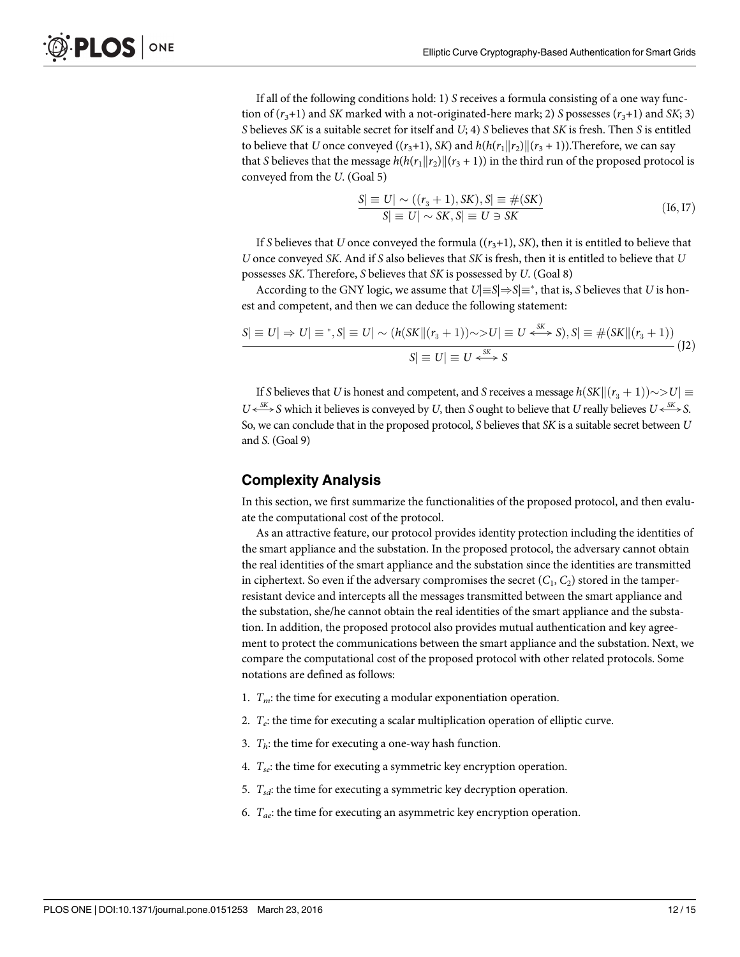If all of the following conditions hold: 1) S receives a formula consisting of a one way function of  $(r_3+1)$  and SK marked with a not-originated-here mark; 2) S possesses  $(r_3+1)$  and SK; 3) S believes SK is a suitable secret for itself and U; 4) S believes that SK is fresh. Then S is entitled to believe that U once conveyed  $((r_3+1), SK)$  and  $h(h(r_1||r_2)||(r_3 + 1))$ . Therefore, we can say that S believes that the message  $h(h(r_1||r_2)||(r_3 + 1))$  in the third run of the proposed protocol is conveyed from the U. (Goal 5)

$$
S| \equiv U| \sim ((r3 + 1), SK), S| \equiv \#(SK)
$$
  

$$
S| \equiv U| \sim SK, S| \equiv U \ni SK
$$
 (16, 17)

If S believes that U once conveyed the formula  $((r<sub>3</sub>+1), SK)$ , then it is entitled to believe that U once conveyed SK. And if S also believes that SK is fresh, then it is entitled to believe that  $U$ possesses SK. Therefore, S believes that SK is possessed by U. (Goal 8)

According to the GNY logic, we assume that  $U|\equiv S|\Rightarrow S|\equiv^*$ , that is, S believes that U is hon-<br>and competent and then we can deduce the following statement: est and competent, and then we can deduce the following statement:

$$
S| \equiv U| \Rightarrow U| \equiv^*, S| \equiv U| \sim (h(SK||(r_3 + 1)) \sim) U| \equiv U \stackrel{SK}{\longleftrightarrow} S), S| \equiv \#(SK||(r_3 + 1))
$$

$$
S| \equiv U| \equiv U \stackrel{SK}{\longleftrightarrow} S
$$
(J2)

If S believes that U is honest and competent, and S receives a message  $h(SK|| (r_3 + 1)) \sim > U \equiv$  $U \leftarrow^{SK} S$  which it believes is conveyed by U, then S ought to believe that U really believes  $U \leftarrow^{SK} S$ . So, we can conclude that in the proposed protocol, S believes that SK is a suitable secret between U and S. (Goal 9)

#### Complexity Analysis

In this section, we first summarize the functionalities of the proposed protocol, and then evaluate the computational cost of the protocol.

As an attractive feature, our protocol provides identity protection including the identities of the smart appliance and the substation. In the proposed protocol, the adversary cannot obtain the real identities of the smart appliance and the substation since the identities are transmitted in ciphertext. So even if the adversary compromises the secret  $(C_1, C_2)$  stored in the tamperresistant device and intercepts all the messages transmitted between the smart appliance and the substation, she/he cannot obtain the real identities of the smart appliance and the substation. In addition, the proposed protocol also provides mutual authentication and key agreement to protect the communications between the smart appliance and the substation. Next, we compare the computational cost of the proposed protocol with other related protocols. Some notations are defined as follows:

- 1.  $T_m$ : the time for executing a modular exponentiation operation.
- 2.  $T_e$ : the time for executing a scalar multiplication operation of elliptic curve.
- 3.  $T_h$ : the time for executing a one-way hash function.
- 4.  $T_{se}$ : the time for executing a symmetric key encryption operation.
- 5.  $T_{sd}$ : the time for executing a symmetric key decryption operation.
- 6.  $T_{ae}$ : the time for executing an asymmetric key encryption operation.

ONE

**LOS**I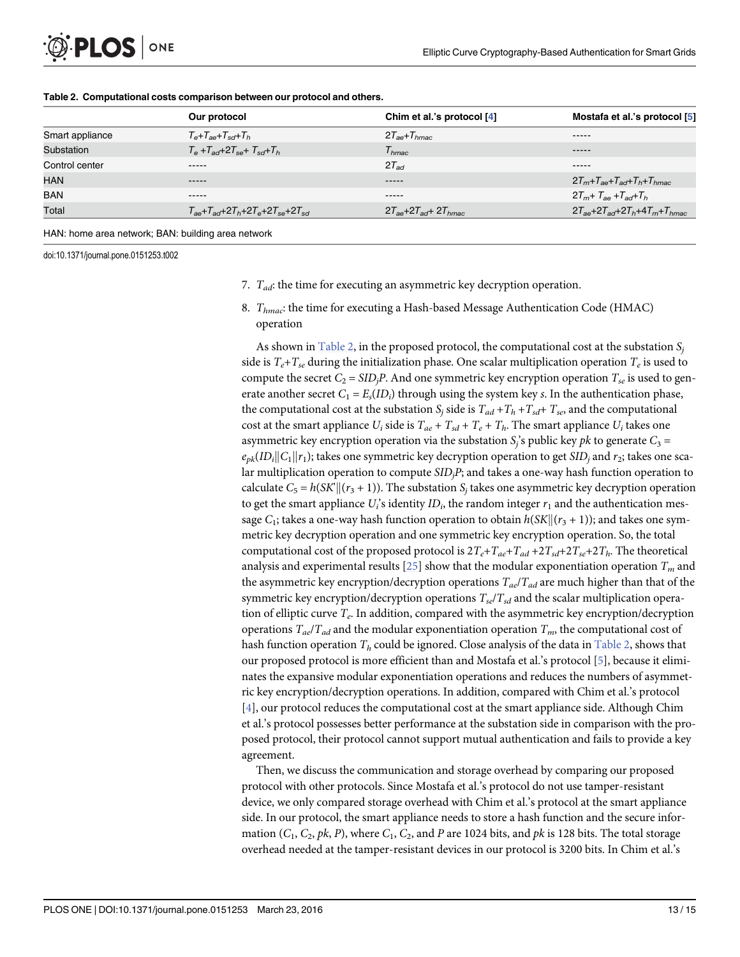<span id="page-12-0"></span>

|  |  |  | Table 2. Computational costs comparison between our protocol and others. |  |  |
|--|--|--|--------------------------------------------------------------------------|--|--|
|--|--|--|--------------------------------------------------------------------------|--|--|

|                 | Our protocol                                                                            | Chim et al.'s protocol [4]                       | Mostafa et al.'s protocol [5]                                               |
|-----------------|-----------------------------------------------------------------------------------------|--------------------------------------------------|-----------------------------------------------------------------------------|
| Smart appliance | $T_{\rm e}+T_{\rm ee}+T_{\rm sed}+T_{\rm h}$                                            | $2T_{ae}+T_{hmac}$                               | -----                                                                       |
| Substation      | $T_e + T_{ad} + 2T_{se} + T_{sd} + T_h$                                                 | $T_{hmac}$                                       | -----                                                                       |
| Control center  | -----                                                                                   | $2T_{ad}$                                        | -----                                                                       |
| <b>HAN</b>      | -----                                                                                   | -----                                            | $2T_m+T_{\text{eq}}+T_{\text{ed}}+T_b+T_{\text{hmac}}$                      |
| <b>BAN</b>      | -----                                                                                   | -----                                            | $2T_{m}+T_{ae}+T_{act}+T_h$                                                 |
| Total           | $T_{\text{eq}}+T_{\text{eq}}+2T_{\text{h}}+2T_{\text{e}}+2T_{\text{se}}+2T_{\text{sd}}$ | $2T_{\text{eq}}+2T_{\text{ed}}+2T_{\text{hmac}}$ | $2T_{\text{eq}}+2T_{\text{eq}}+2T_{\text{h}}+4T_{\text{m}}+T_{\text{hmac}}$ |
|                 |                                                                                         |                                                  |                                                                             |

HAN: home area network; BAN: building area network

doi:10.1371/journal.pone.0151253.t002

- 7.  $T_{ad}$ : the time for executing an asymmetric key decryption operation.
- 8.  $T_{hmac}$ : the time for executing a Hash-based Message Authentication Code (HMAC) operation

As shown in Table 2, in the proposed protocol, the computational cost at the substation  $S_i$ side is  $T_e+T_{se}$  during the initialization phase. One scalar multiplication operation  $T_e$  is used to compute the secret  $C_2 = SID_iP$ . And one symmetric key encryption operation  $T_{se}$  is used to generate another secret  $C_1 = E_s(ID_i)$  through using the system key s. In the authentication phase, the computational cost at the substation  $S_i$  side is  $T_{ad} + T_h + T_{sd} + T_{se}$ , and the computational cost at the smart appliance  $U_i$  side is  $T_{ae} + T_{sd} + T_e + T_h$ . The smart appliance  $U_i$  takes one asymmetric key encryption operation via the substation  $S_i$ 's public key pk to generate  $C_3$  =  $e_{pk}(\text{ID}_i||C_1||r_1)$ ; takes one symmetric key decryption operation to get SID<sub>i</sub> and r<sub>2</sub>; takes one scalar multiplication operation to compute  $SID<sub>i</sub>P$ ; and takes a one-way hash function operation to calculate  $C_5 = h(SK|| (r_3 + 1))$ . The substation  $S_i$  takes one asymmetric key decryption operation to get the smart appliance  $U_i$ 's identity  $ID_i$ , the random integer  $r_1$  and the authentication message  $C_1$ ; takes a one-way hash function operation to obtain  $h(SK|| (r_3 + 1))$ ; and takes one symmetric key decryption operation and one symmetric key encryption operation. So, the total computational cost of the proposed protocol is  $2T_e+T_{ae}+T_{ad}+2T_{se}+2T_h$ . The theoretical analysis and experimental results  $[25]$  show that the modular exponentiation operation  $T_m$  and the asymmetric key encryption/decryption operations  $T_{ae}/T_{ad}$  are much higher than that of the symmetric key encryption/decryption operations  $T_{se}/T_{sd}$  and the scalar multiplication operation of elliptic curve  $T_e$ . In addition, compared with the asymmetric key encryption/decryption operations  $T_{ae}/T_{ad}$  and the modular exponentiation operation  $T_{m}$ , the computational cost of hash function operation  $T_h$  could be ignored. Close analysis of the data in Table 2, shows that our proposed protocol is more efficient than and Mostafa et al.'s protocol [[5](#page-14-0)], because it eliminates the expansive modular exponentiation operations and reduces the numbers of asymmetric key encryption/decryption operations. In addition, compared with Chim et al.'s protocol [\[4](#page-14-0)], our protocol reduces the computational cost at the smart appliance side. Although Chim et al.'s protocol possesses better performance at the substation side in comparison with the proposed protocol, their protocol cannot support mutual authentication and fails to provide a key agreement.

Then, we discuss the communication and storage overhead by comparing our proposed protocol with other protocols. Since Mostafa et al.'s protocol do not use tamper-resistant device, we only compared storage overhead with Chim et al.'s protocol at the smart appliance side. In our protocol, the smart appliance needs to store a hash function and the secure information ( $C_1$ ,  $C_2$ ,  $pk$ ,  $P$ ), where  $C_1$ ,  $C_2$ , and  $P$  are 1024 bits, and  $pk$  is 128 bits. The total storage overhead needed at the tamper-resistant devices in our protocol is 3200 bits. In Chim et al.'s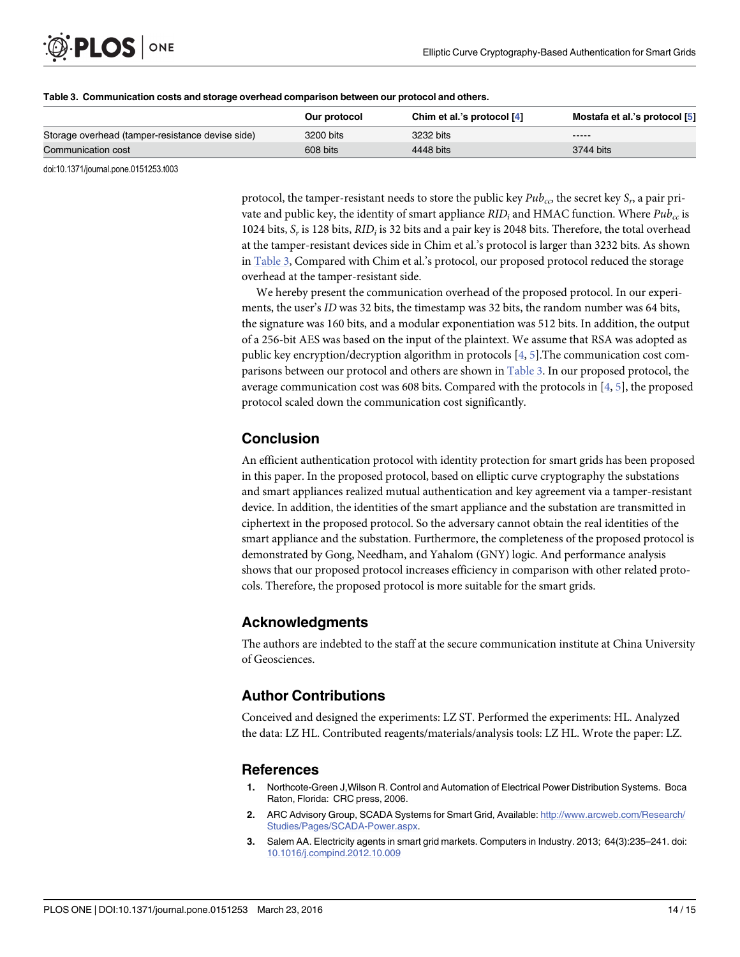<span id="page-13-0"></span>

|                                                  | Our protocol | Chim et al.'s protocol [4] | Mostafa et al.'s protocol [5] |
|--------------------------------------------------|--------------|----------------------------|-------------------------------|
| Storage overhead (tamper-resistance devise side) | 3200 bits    | 3232 bits                  | -----                         |
| Communication cost                               | 608 bits     | 4448 bits                  | 3744 bits                     |

#### Table 3. Communication costs and storage overhead comparison between our protocol and others.

doi:10.1371/journal.pone.0151253.t003

protocol, the tamper-resistant needs to store the public key  $Pub_{cc}$ , the secret key  $S_r$ , a pair private and public key, the identity of smart appliance  $RID_i$  and HMAC function. Where  $Pub<sub>cc</sub>$  is 1024 bits,  $S_r$  is 128 bits,  $RID_i$  is 32 bits and a pair key is 2048 bits. Therefore, the total overhead at the tamper-resistant devices side in Chim et al.'s protocol is larger than 3232 bits. As shown in Table 3, Compared with Chim et al.'s protocol, our proposed protocol reduced the storage overhead at the tamper-resistant side.

We hereby present the communication overhead of the proposed protocol. In our experiments, the user's ID was 32 bits, the timestamp was 32 bits, the random number was 64 bits, the signature was 160 bits, and a modular exponentiation was 512 bits. In addition, the output of a 256-bit AES was based on the input of the plaintext. We assume that RSA was adopted as public key encryption/decryption algorithm in protocols  $[4, 5]$  $[4, 5]$  $[4, 5]$ . The communication cost comparisons between our protocol and others are shown in Table 3. In our proposed protocol, the average communication cost was 608 bits. Compared with the protocols in [\[4,](#page-14-0) [5](#page-14-0)], the proposed protocol scaled down the communication cost significantly.

# Conclusion

An efficient authentication protocol with identity protection for smart grids has been proposed in this paper. In the proposed protocol, based on elliptic curve cryptography the substations and smart appliances realized mutual authentication and key agreement via a tamper-resistant device. In addition, the identities of the smart appliance and the substation are transmitted in ciphertext in the proposed protocol. So the adversary cannot obtain the real identities of the smart appliance and the substation. Furthermore, the completeness of the proposed protocol is demonstrated by Gong, Needham, and Yahalom (GNY) logic. And performance analysis shows that our proposed protocol increases efficiency in comparison with other related protocols. Therefore, the proposed protocol is more suitable for the smart grids.

# Acknowledgments

The authors are indebted to the staff at the secure communication institute at China University of Geosciences.

# Author Contributions

Conceived and designed the experiments: LZ ST. Performed the experiments: HL. Analyzed the data: LZ HL. Contributed reagents/materials/analysis tools: LZ HL. Wrote the paper: LZ.

# **References**

- [1.](#page-0-0) Northcote-Green J,Wilson R. Control and Automation of Electrical Power Distribution Systems. Boca Raton, Florida: CRC press, 2006.
- [2.](#page-0-0) ARC Advisory Group, SCADA Systems for Smart Grid, Available: [http://www.arcweb.com/Research/](http://www.arcweb.com/Research/Studies/Pages/SCADA-Power.aspx) [Studies/Pages/SCADA-Power.aspx.](http://www.arcweb.com/Research/Studies/Pages/SCADA-Power.aspx)
- [3.](#page-1-0) Salem AA. Electricity agents in smart grid markets. Computers in Industry. 2013; 64(3):235–241. doi: [10.1016/j.compind.2012.10.009](http://dx.doi.org/10.1016/j.compind.2012.10.009)